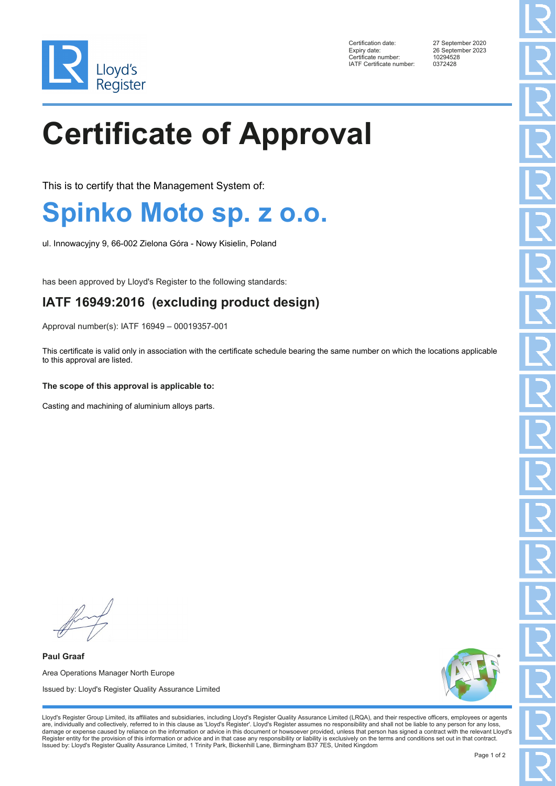

Certification date: 27 September 2020 Expiry date: 26 September 2023<br>Certificate number: 20294528 Ency Enternalism of the Certificate number: 10294528<br>IATE Certificate number: 0372428 IATF Certificate number:

# **Certificate of Approval**

This is to certify that the Management System of:

### **Spinko Moto sp. z o.o.**

ul. Innowacyjny 9, 66-002 Zielona Góra - Nowy Kisielin, Poland

has been approved by Lloyd's Register to the following standards:

### **IATF 16949:2016 (excluding product design)**

Approval number(s): IATF 16949 – 00019357-001

This certificate is valid only in association with the certificate schedule bearing the same number on which the locations applicable to this approval are listed.

#### **The scope of this approval is applicable to:**

Casting and machining of aluminium alloys parts.

**Paul Graaf** Area Operations Manager North Europe Issued by: Lloyd's Register Quality Assurance Limited



Lloyd's Register Group Limited, its affiliates and subsidiaries, including Lloyd's Register Quality Assurance Limited (LRQA), and their respective officers, employees or agents are, individually and collectively, referred to in this clause as 'Lloyd's Register'. Lloyd's Register assumes no responsibility and shall not be liable to any person for any loss,<br>damage or expense caused by reliance on t Register entity for the provision of this information or advice and in that case any responsibility or liability is exclusively on the terms and conditions set out in that contract. Issued by: Lloyd's Register Quality Assurance Limited, 1 Trinity Park, Bickenhill Lane, Birmingham B37 7ES, United Kingdom